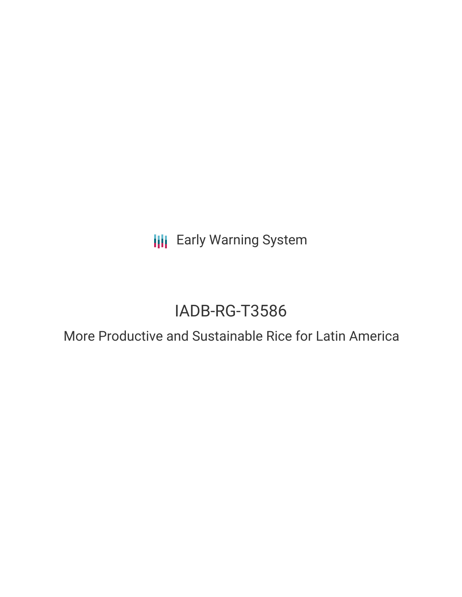**III** Early Warning System

# IADB-RG-T3586

## More Productive and Sustainable Rice for Latin America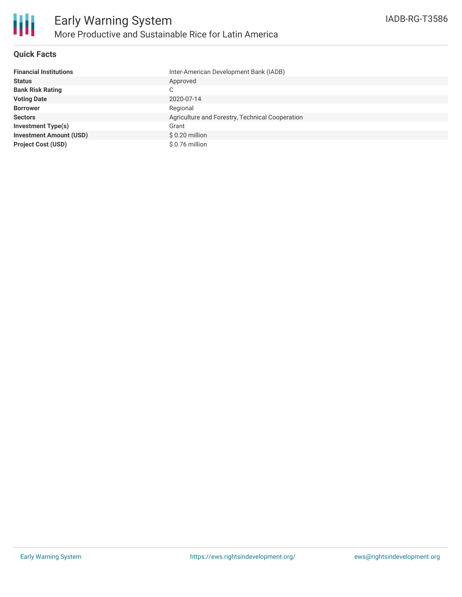

### **Quick Facts**

| <b>Financial Institutions</b>  | Inter-American Development Bank (IADB)          |
|--------------------------------|-------------------------------------------------|
| <b>Status</b>                  | Approved                                        |
| <b>Bank Risk Rating</b>        | C                                               |
| <b>Voting Date</b>             | 2020-07-14                                      |
| <b>Borrower</b>                | Regional                                        |
| <b>Sectors</b>                 | Agriculture and Forestry, Technical Cooperation |
| <b>Investment Type(s)</b>      | Grant                                           |
| <b>Investment Amount (USD)</b> | \$0.20 million                                  |
| <b>Project Cost (USD)</b>      | \$0.76 million                                  |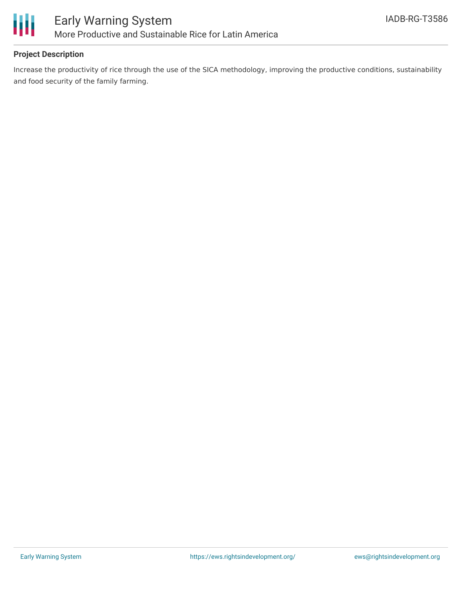

### **Project Description**

Increase the productivity of rice through the use of the SICA methodology, improving the productive conditions, sustainability and food security of the family farming.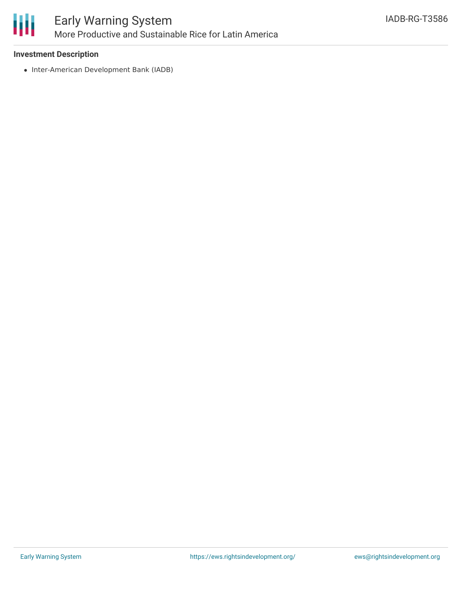

### Early Warning System More Productive and Sustainable Rice for Latin America

### **Investment Description**

• Inter-American Development Bank (IADB)